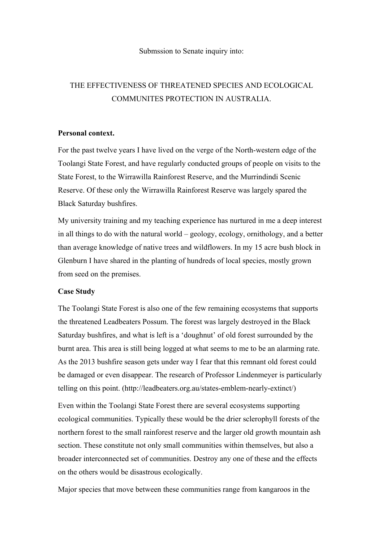## Submssion to Senate inquiry into:

## THE EFFECTIVENESS OF THREATENED SPECIES AND ECOLOGICAL COMMUNITES PROTECTION IN AUSTRALIA.

## **Personal context.**

For the past twelve years I have lived on the verge of the North-western edge of the Toolangi State Forest, and have regularly conducted groups of people on visits to the State Forest, to the Wirrawilla Rainforest Reserve, and the Murrindindi Scenic Reserve. Of these only the Wirrawilla Rainforest Reserve was largely spared the Black Saturday bushfires.

My university training and my teaching experience has nurtured in me a deep interest in all things to do with the natural world – geology, ecology, ornithology, and a better than average knowledge of native trees and wildflowers. In my 15 acre bush block in Glenburn I have shared in the planting of hundreds of local species, mostly grown from seed on the premises.

## **Case Study**

The Toolangi State Forest is also one of the few remaining ecosystems that supports the threatened Leadbeaters Possum. The forest was largely destroyed in the Black Saturday bushfires, and what is left is a 'doughnut' of old forest surrounded by the burnt area. This area is still being logged at what seems to me to be an alarming rate. As the 2013 bushfire season gets under way I fear that this remnant old forest could be damaged or even disappear. The research of Professor Lindenmeyer is particularly telling on this point. (http://leadbeaters.org.au/states-emblem-nearly-extinct/)

Even within the Toolangi State Forest there are several ecosystems supporting ecological communities. Typically these would be the drier sclerophyll forests of the northern forest to the small rainforest reserve and the larger old growth mountain ash section. These constitute not only small communities within themselves, but also a broader interconnected set of communities. Destroy any one of these and the effects on the others would be disastrous ecologically.

Major species that move between these communities range from kangaroos in the